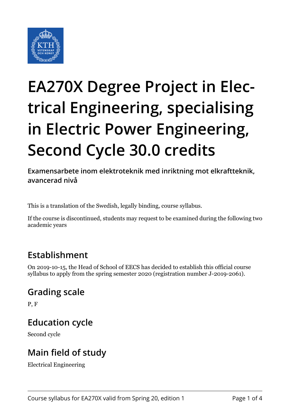

# **EA270X Degree Project in Electrical Engineering, specialising in Electric Power Engineering, Second Cycle 30.0 credits**

**Examensarbete inom elektroteknik med inriktning mot elkraftteknik, avancerad nivå**

This is a translation of the Swedish, legally binding, course syllabus.

If the course is discontinued, students may request to be examined during the following two academic years

# **Establishment**

On 2019-10-15, the Head of School of EECS has decided to establish this official course syllabus to apply from the spring semester 2020 (registration number J-2019-2061).

# **Grading scale**

P, F

### **Education cycle**

Second cycle

# **Main field of study**

Electrical Engineering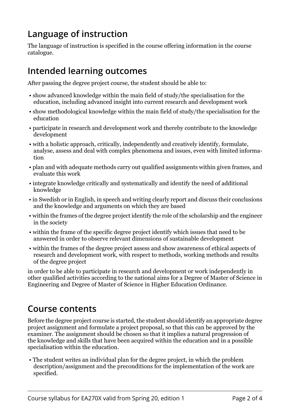# **Language of instruction**

The language of instruction is specified in the course offering information in the course catalogue.

## **Intended learning outcomes**

After passing the degree project course, the student should be able to:

- show advanced knowledge within the main field of study/the specialisation for the education, including advanced insight into current research and development work
- show methodological knowledge within the main field of study/the specialisation for the education
- participate in research and development work and thereby contribute to the knowledge development
- with a holistic approach, critically, independently and creatively identify, formulate, analyse, assess and deal with complex phenomena and issues, even with limited information
- plan and with adequate methods carry out qualified assignments within given frames, and evaluate this work
- integrate knowledge critically and systematically and identify the need of additional knowledge
- in Swedish or in English, in speech and writing clearly report and discuss their conclusions and the knowledge and arguments on which they are based
- within the frames of the degree project identify the role of the scholarship and the engineer in the society
- within the frame of the specific degree project identify which issues that need to be answered in order to observe relevant dimensions of sustainable development
- within the frames of the degree project assess and show awareness of ethical aspects of research and development work, with respect to methods, working methods and results of the degree project

in order to be able to participate in research and development or work independently in other qualified activities according to the national aims for a Degree of Master of Science in Engineering and Degree of Master of Science in Higher Education Ordinance.

### **Course contents**

Before the degree project course is started, the student should identify an appropriate degree project assignment and formulate a project proposal, so that this can be approved by the examiner. The assignment should be chosen so that it implies a natural progression of the knowledge and skills that have been acquired within the education and in a possible specialisation within the education.

 • The student writes an individual plan for the degree project, in which the problem description/assignment and the preconditions for the implementation of the work are specified.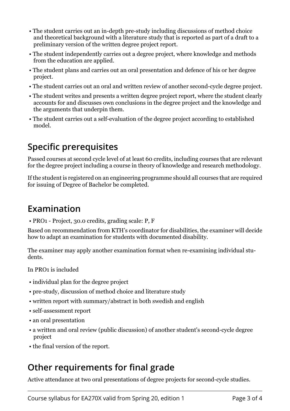- The student carries out an in-depth pre-study including discussions of method choice and theoretical background with a literature study that is reported as part of a draft to a preliminary version of the written degree project report.
- The student independently carries out a degree project, where knowledge and methods from the education are applied.
- The student plans and carries out an oral presentation and defence of his or her degree project.
- The student carries out an oral and written review of another second-cycle degree project.
- The student writes and presents a written degree project report, where the student clearly accounts for and discusses own conclusions in the degree project and the knowledge and the arguments that underpin them.
- The student carries out a self-evaluation of the degree project according to established model.

### **Specific prerequisites**

Passed courses at second cycle level of at least 60 credits, including courses that are relevant for the degree project including a course in theory of knowledge and research methodology.

If the student is registered on an engineering programme should all courses that are required for issuing of Degree of Bachelor be completed.

#### **Examination**

• PRO1 - Project, 30.0 credits, grading scale: P, F

Based on recommendation from KTH's coordinator for disabilities, the examiner will decide how to adapt an examination for students with documented disability.

The examiner may apply another examination format when re-examining individual students.

In PRO1 is included

- individual plan for the degree project
- pre-study, discussion of method choice and literature study
- written report with summary/abstract in both swedish and english
- self-assessment report
- an oral presentation
- a written and oral review (public discussion) of another student's second-cycle degree project
- the final version of the report.

### **Other requirements for final grade**

Active attendance at two oral presentations of degree projects for second-cycle studies.